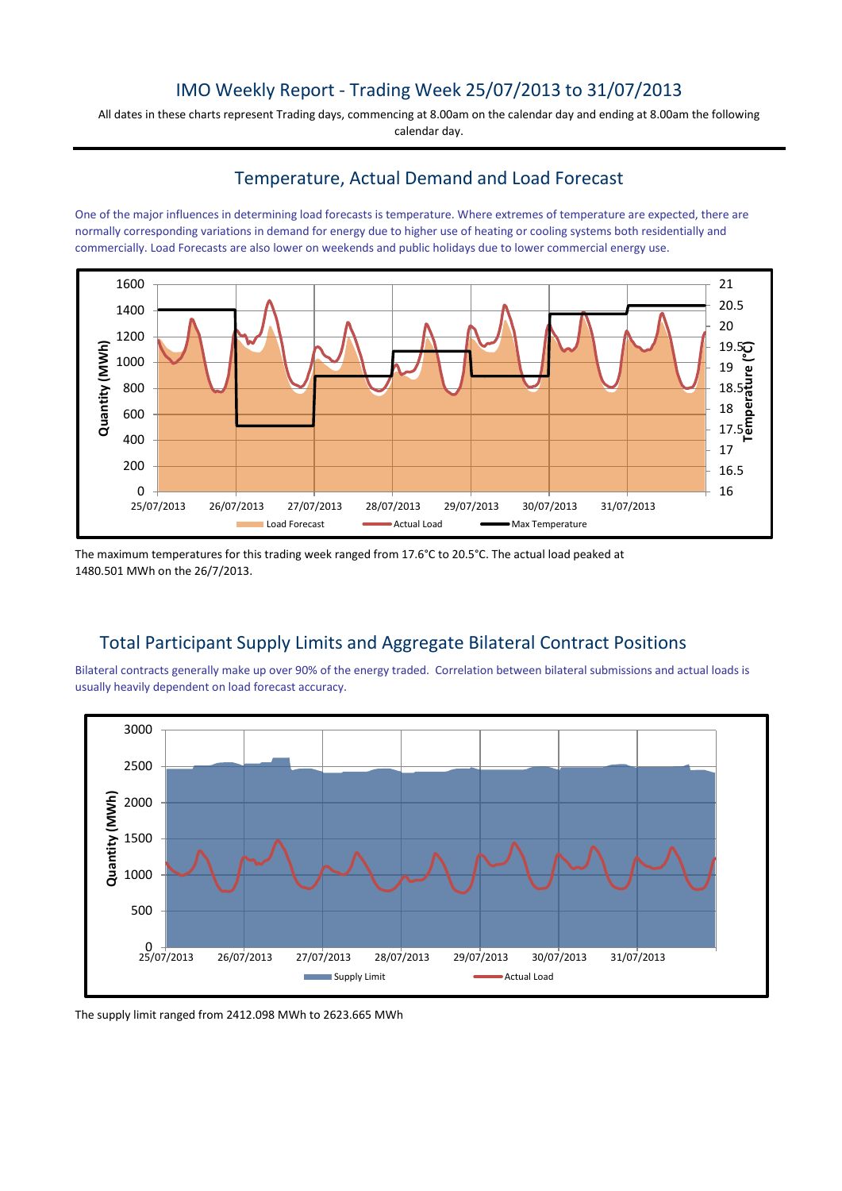# IMO Weekly Report - Trading Week 25/07/2013 to 31/07/2013

All dates in these charts represent Trading days, commencing at 8.00am on the calendar day and ending at 8.00am the following calendar day.

### Temperature, Actual Demand and Load Forecast

One of the major influences in determining load forecasts is temperature. Where extremes of temperature are expected, there are normally corresponding variations in demand for energy due to higher use of heating or cooling systems both residentially and commercially. Load Forecasts are also lower on weekends and public holidays due to lower commercial energy use.



The maximum temperatures for this trading week ranged from 17.6°C to 20.5°C. The actual load peaked at 1480.501 MWh on the 26/7/2013.

# Total Participant Supply Limits and Aggregate Bilateral Contract Positions

Bilateral contracts generally make up over 90% of the energy traded. Correlation between bilateral submissions and actual loads is usually heavily dependent on load forecast accuracy.



The supply limit ranged from 2412.098 MWh to 2623.665 MWh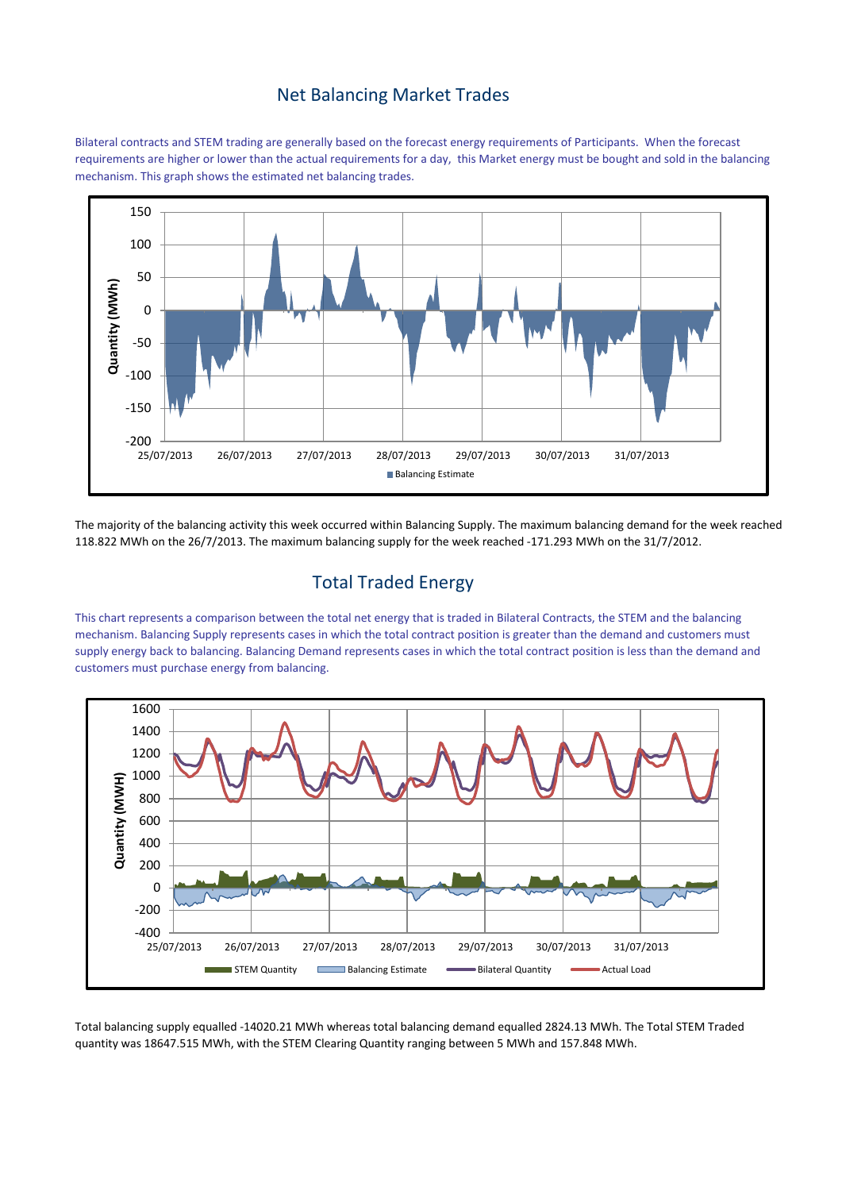#### Net Balancing Market Trades

Bilateral contracts and STEM trading are generally based on the forecast energy requirements of Participants. When the forecast requirements are higher or lower than the actual requirements for a day, this Market energy must be bought and sold in the balancing mechanism. This graph shows the estimated net balancing trades.



The majority of the balancing activity this week occurred within Balancing Supply. The maximum balancing demand for the week reached 118.822 MWh on the 26/7/2013. The maximum balancing supply for the week reached -171.293 MWh on the 31/7/2012.

# Total Traded Energy

This chart represents a comparison between the total net energy that is traded in Bilateral Contracts, the STEM and the balancing mechanism. Balancing Supply represents cases in which the total contract position is greater than the demand and customers must supply energy back to balancing. Balancing Demand represents cases in which the total contract position is less than the demand and customers must purchase energy from balancing.



Total balancing supply equalled -14020.21 MWh whereas total balancing demand equalled 2824.13 MWh. The Total STEM Traded quantity was 18647.515 MWh, with the STEM Clearing Quantity ranging between 5 MWh and 157.848 MWh.